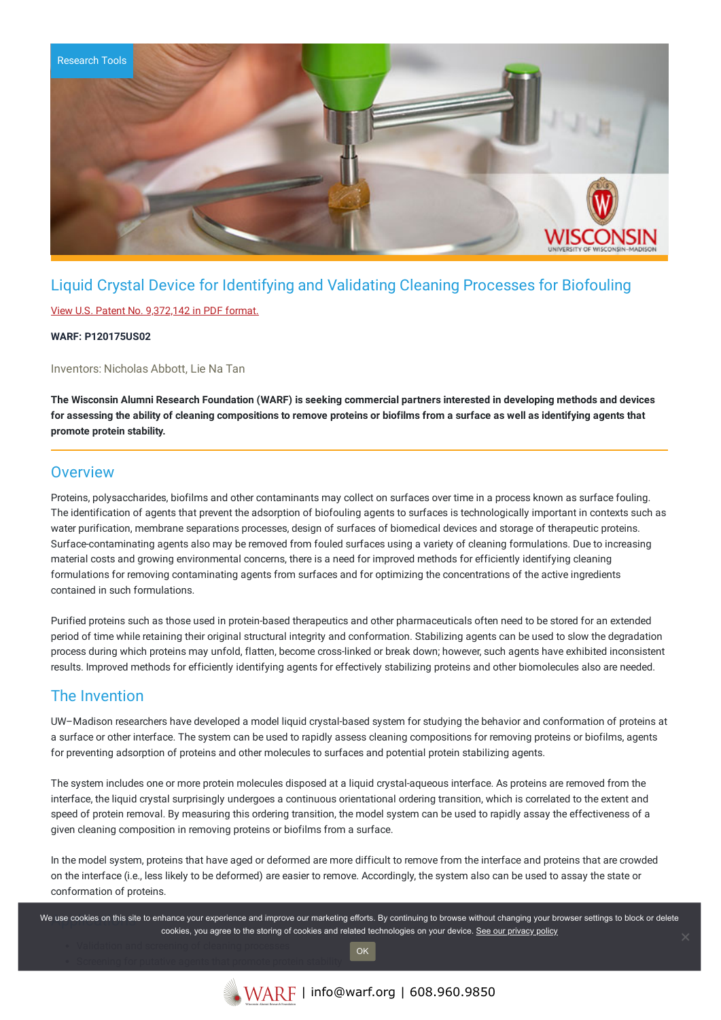

# Liquid Crystal Device for Identifying and Validating Cleaning Processes for Biofouling

### View U.S. Patent No. [9,372,142](https://www.warf.org/wp-content/uploads/technologies/ipstatus/P120175US02.PDF) in PDF format.

### **WARF: P120175US02**

Inventors: Nicholas Abbott, Lie Na Tan

The Wisconsin Alumni Research Foundation (WARF) is seeking commercial partners interested in developing methods and devices for assessing the ability of cleaning compositions to remove proteins or biofilms from a surface as well as identifying agents that **promote protein stability.**

### **Overview**

Proteins, polysaccharides, biofilms and other contaminants may collect on surfaces over time in a process known as surface fouling. The identification of agents that prevent the adsorption of biofouling agents to surfaces is technologically important in contexts such as water purification, membrane separations processes, design of surfaces of biomedical devices and storage of therapeutic proteins. Surface-contaminating agents also may be removed from fouled surfaces using a variety of cleaning formulations. Due to increasing material costs and growing environmental concerns, there is a need for improved methods for efficiently identifying cleaning formulations for removing contaminating agents from surfaces and for optimizing the concentrations of the active ingredients contained in such formulations.

Purified proteins such as those used in protein-based therapeutics and other pharmaceuticals often need to be stored for an extended period of time while retaining their original structural integrity and conformation. Stabilizing agents can be used to slow the degradation process during which proteins may unfold, flatten, become cross-linked or break down; however, such agents have exhibited inconsistent results. Improved methods for efficiently identifying agents for effectively stabilizing proteins and other biomolecules also are needed.

### The Invention

UW–Madison researchers have developed a model liquid crystal-based system for studying the behavior and conformation of proteins at a surface or other interface. The system can be used to rapidly assess cleaning compositions for removing proteins or biofilms, agents for preventing adsorption of proteins and other molecules to surfaces and potential protein stabilizing agents.

The system includes one or more protein molecules disposed at a liquid crystal-aqueous interface. As proteins are removed from the interface, the liquid crystal surprisingly undergoes a continuous orientational ordering transition, which is correlated to the extent and speed of protein removal. By measuring this ordering transition, the model system can be used to rapidly assay the effectiveness of a given cleaning composition in removing proteins or biofilms from a surface.

In the model system, proteins that have aged or deformed are more difficult to remove from the interface and proteins that are crowded on the interface (i.e., less likely to be deformed) are easier to remove. Accordingly, the system also can be used to assay the state or conformation of proteins.

We use cookies on this site to enhance your experience and improve our marketing efforts. By continuing to browse without changing your browser settings to block or delete cookies, you agree to the storing of cookies and related technologies on your device. [See our privacy policy](https://www.warf.org/privacy-policy/)

OK